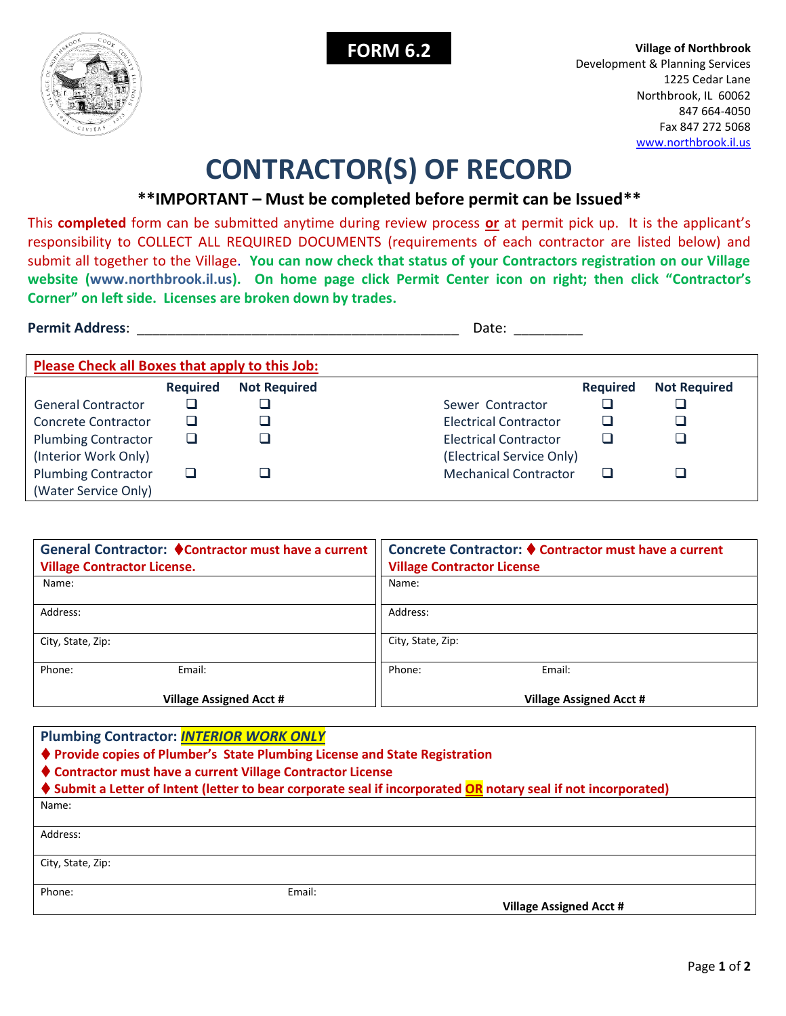



**FORM 6.2 Village of Northbrook** Development & Planning Services 1225 Cedar Lane Northbrook, IL 60062 847 664-4050 Fax 847 272 5068 [www.northbrook.il.us](http://www.northbrook.il.us/)

## **CONTRACTOR(S) OF RECORD**

## **\*\*IMPORTANT – Must be completed before permit can be Issued\*\***

This **completed** form can be submitted anytime during review process **or** at permit pick up. It is the applicant's responsibility to COLLECT ALL REQUIRED DOCUMENTS (requirements of each contractor are listed below) and submit all together to the Village. **You can now check that status of your Contractors registration on our Village website (www.northbrook.il.us). On home page click Permit Center icon on right; then click "Contractor's Corner" on left side. Licenses are broken down by trades.**

**Permit Address**: \_\_\_\_\_\_\_\_\_\_\_\_\_\_\_\_\_\_\_\_\_\_\_\_\_\_\_\_\_\_\_\_\_\_\_\_\_\_\_\_\_\_ Date: \_\_\_\_\_\_\_\_\_

| Please Check all Boxes that apply to this Job: |                 |                     |                              |                 |                     |
|------------------------------------------------|-----------------|---------------------|------------------------------|-----------------|---------------------|
|                                                | <b>Required</b> | <b>Not Required</b> |                              | <b>Required</b> | <b>Not Required</b> |
| <b>General Contractor</b>                      |                 |                     | Sewer Contractor             |                 |                     |
| Concrete Contractor                            |                 |                     | Electrical Contractor        |                 |                     |
| <b>Plumbing Contractor</b>                     |                 |                     | <b>Electrical Contractor</b> |                 |                     |
| (Interior Work Only)                           |                 |                     | (Electrical Service Only)    |                 |                     |
| <b>Plumbing Contractor</b>                     |                 |                     | <b>Mechanical Contractor</b> |                 |                     |
| (Water Service Only)                           |                 |                     |                              |                 |                     |

| General Contractor: ♦ Contractor must have a current<br><b>Village Contractor License.</b> |                                | Concrete Contractor: ♦ Contractor must have a current<br><b>Village Contractor License</b> |  |  |
|--------------------------------------------------------------------------------------------|--------------------------------|--------------------------------------------------------------------------------------------|--|--|
| Name:                                                                                      |                                | Name:                                                                                      |  |  |
| Address:                                                                                   |                                | Address:                                                                                   |  |  |
| City, State, Zip:                                                                          |                                | City, State, Zip:                                                                          |  |  |
| Phone:                                                                                     | Email:                         | Email:<br>Phone:                                                                           |  |  |
|                                                                                            | <b>Village Assigned Acct #</b> | <b>Village Assigned Acct #</b>                                                             |  |  |

| <b>Plumbing Contractor: INTERIOR WORK ONLY</b>                                                                 |        |                                |  |  |  |
|----------------------------------------------------------------------------------------------------------------|--------|--------------------------------|--|--|--|
| ♦ Provide copies of Plumber's State Plumbing License and State Registration                                    |        |                                |  |  |  |
| ♦ Contractor must have a current Village Contractor License                                                    |        |                                |  |  |  |
| ♦ Submit a Letter of Intent (letter to bear corporate seal if incorporated OR notary seal if not incorporated) |        |                                |  |  |  |
| Name:                                                                                                          |        |                                |  |  |  |
|                                                                                                                |        |                                |  |  |  |
| Address:                                                                                                       |        |                                |  |  |  |
|                                                                                                                |        |                                |  |  |  |
| City, State, Zip:                                                                                              |        |                                |  |  |  |
|                                                                                                                |        |                                |  |  |  |
| Phone:                                                                                                         | Email: |                                |  |  |  |
|                                                                                                                |        | <b>Village Assigned Acct #</b> |  |  |  |